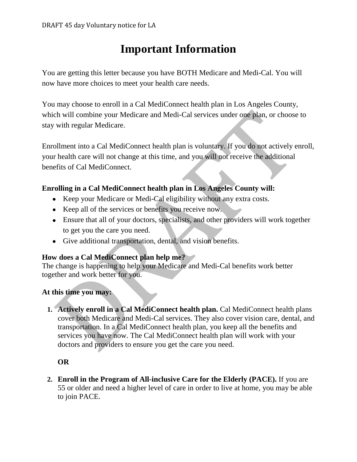# **Important Information**

You are getting this letter because you have BOTH Medicare and Medi-Cal. You will now have more choices to meet your health care needs.

You may choose to enroll in a Cal MediConnect health plan in Los Angeles County, which will combine your Medicare and Medi-Cal services under one plan, or choose to stay with regular Medicare.

Enrollment into a Cal MediConnect health plan is voluntary. If you do not actively enroll, your health care will not change at this time, and you will not receive the additional benefits of Cal MediConnect.

### **Enrolling in a Cal MediConnect health plan in Los Angeles County will:**

- Keep your Medicare or Medi-Cal eligibility without any extra costs.
- Keep all of the services or benefits you receive now.
- Ensure that all of your doctors, specialists, and other providers will work together to get you the care you need.
- Give additional transportation, dental, and vision benefits.

# **How does a Cal MediConnect plan help me?**

The change is happening to help your Medicare and Medi-Cal benefits work better together and work better for you.

### **At this time you may:**

**1. Actively enroll in a Cal MediConnect health plan.** Cal MediConnect health plans cover both Medicare and Medi-Cal services. They also cover vision care, dental, and transportation. In a Cal MediConnect health plan, you keep all the benefits and services you have now. The Cal MediConnect health plan will work with your doctors and providers to ensure you get the care you need.

# **OR**

**2. Enroll in the Program of All-inclusive Care for the Elderly (PACE).** If you are 55 or older and need a higher level of care in order to live at home, you may be able to join PACE.